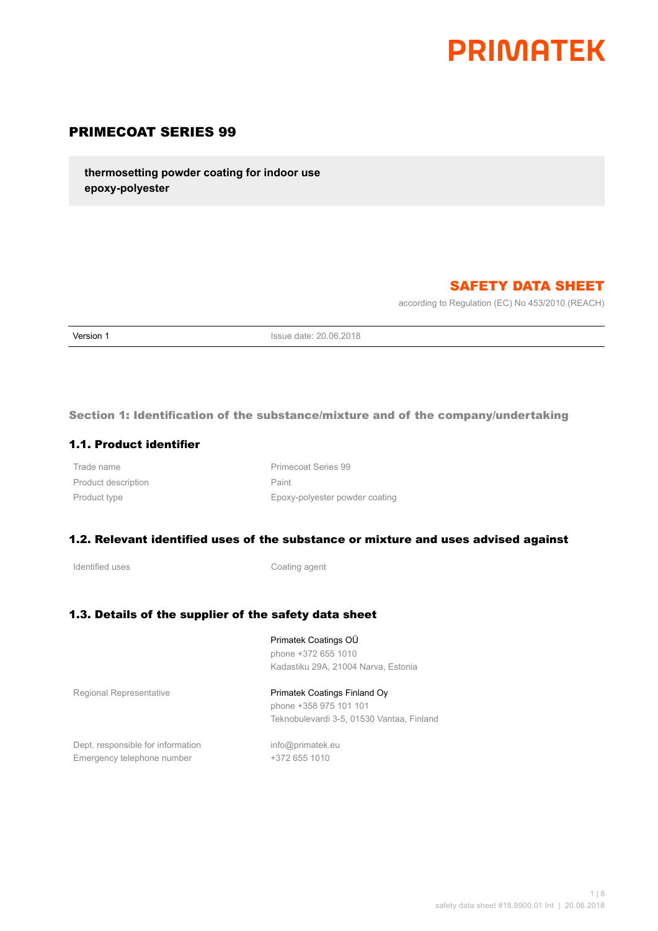

# PRIMECOAT SERIES 99

**thermosetting powder coating for indoor use epoxy-polyester**

# SAFETY DATA SHEET

according to Regulation (EC) No 453/2010 (REACH)

**Version 1 Issue date: 20.06.2018** 

Section 1: Identification of the substance/mixture and of the company/undertaking

#### 1.1. Product identifier

Product description **Paint** Paint

Trade name **Primecoat Series** 99 Product type **Epoxy-polyester powder coating** 

#### 1.2. Relevant identified uses of the substance or mixture and uses advised against

Identified uses **Coating agent** 

#### 1.3. Details of the supplier of the safety data sheet

Primatek Coatings OÜ phone +372 655 1010 Kadastiku 29A, 21004 Narva, Estonia

Regional Representative **Primatek Coatings Finland Oy** phone +358 975 101 101 Teknobulevardi 3-5, 01530 Vantaa, Finland

Dept. responsible for information info@primatek.eu Emergency telephone number +372 655 1010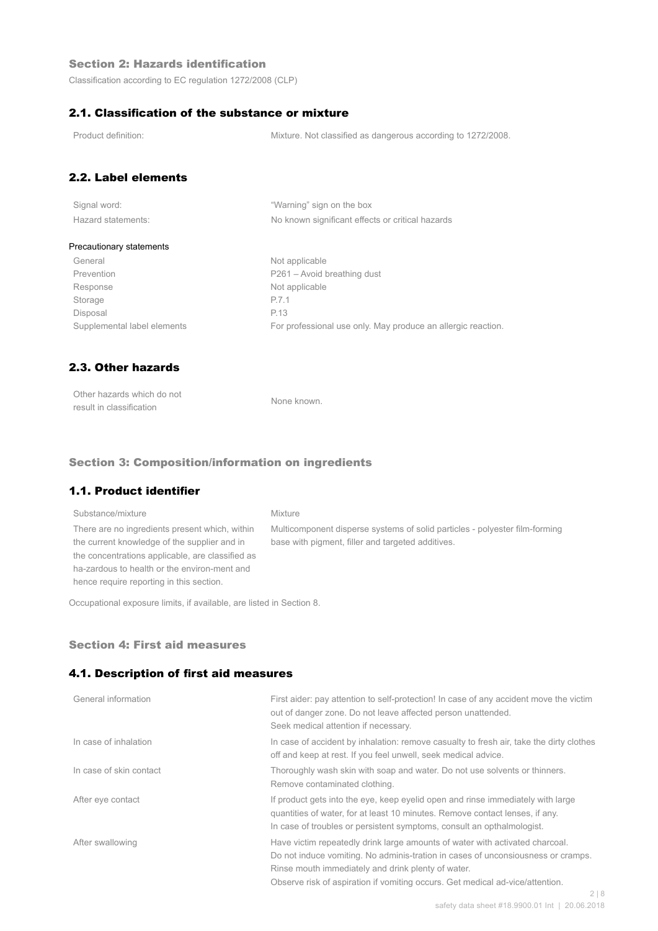### Section 2: Hazards identification

Classification according to EC regulation 1272/2008 (CLP)

### 2.1. Classification of the substance or mixture

Product definition: Mixture. Not classified as dangerous according to 1272/2008.

# 2.2. Label elements

| Signal word:       |  |
|--------------------|--|
| Hazard statements: |  |

"Warning" sign on the box No known significant effects or critical hazards

#### Precautionary statements

General Not applicable Prevention Prevention P261 – Avoid breathing dust Response Not applicable Storage P.7.1 Disposal P.13

Supplemental label elements For professional use only. May produce an allergic reaction.

# 2.3. Other hazards

| Other hazards which do not | None known. |
|----------------------------|-------------|
| result in classification   |             |

#### Section 3: Composition/information on ingredients

### 1.1. Product identifier

## Substance/mixture Mixture There are no ingredients present which, within the current knowledge of the supplier and in the concentrations applicable, are classified as ha-zardous to health or the environ-ment and hence require reporting in this section.

Multicomponent disperse systems of solid particles - polyester film-forming base with pigment, filler and targeted additives.

Occupational exposure limits, if available, are listed in Section 8.

#### Section 4: First aid measures

#### 4.1. Description of first aid measures

| First aider: pay attention to self-protection! In case of any accident move the victim<br>out of danger zone. Do not leave affected person unattended.<br>Seek medical attention if necessary.                                                                                                                    |
|-------------------------------------------------------------------------------------------------------------------------------------------------------------------------------------------------------------------------------------------------------------------------------------------------------------------|
| In case of accident by inhalation: remove casualty to fresh air, take the dirty clothes<br>off and keep at rest. If you feel unwell, seek medical advice.                                                                                                                                                         |
| Thoroughly wash skin with soap and water. Do not use solvents or thinners.<br>Remove contaminated clothing.                                                                                                                                                                                                       |
| If product gets into the eye, keep eyelid open and rinse immediately with large<br>quantities of water, for at least 10 minutes. Remove contact lenses, if any.<br>In case of troubles or persistent symptoms, consult an opthalmologist.                                                                         |
| Have victim repeatedly drink large amounts of water with activated charcoal.<br>Do not induce vomiting. No adminis-tration in cases of unconsiousness or cramps.<br>Rinse mouth immediately and drink plenty of water.<br>Observe risk of aspiration if vomiting occurs. Get medical ad-vice/attention.<br>$\cap$ |
|                                                                                                                                                                                                                                                                                                                   |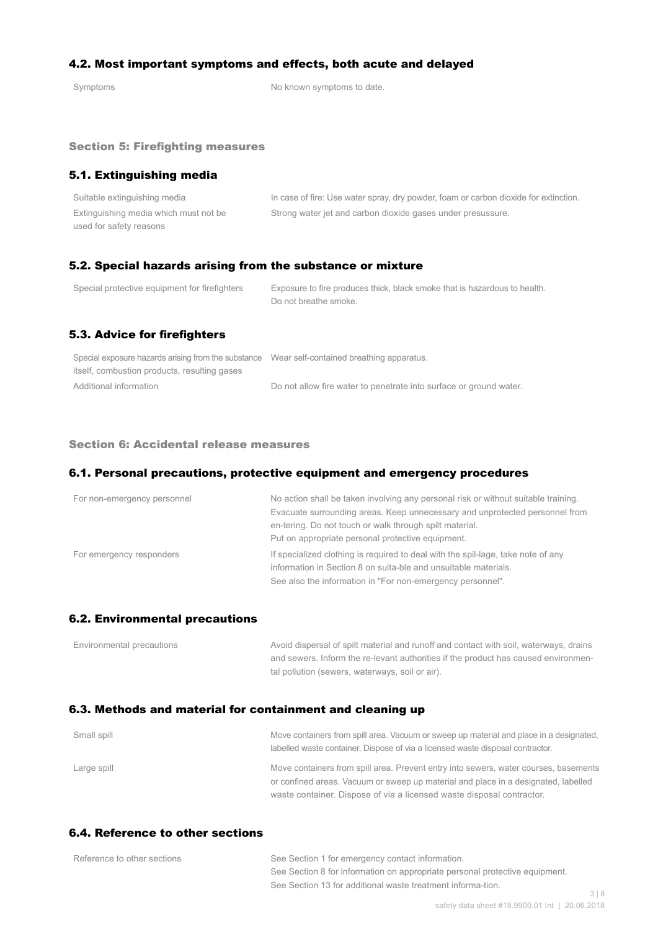### 4.2. Most important symptoms and effects, both acute and delayed

Symptoms Symptoms of the Symptoms to date.

#### Section 5: Firefighting measures

### 5.1. Extinguishing media

| Suitable extinguishing media          | In case of fire: Use water spray, dry powder, foam or carbon dioxide for extinction. |
|---------------------------------------|--------------------------------------------------------------------------------------|
| Extinguishing media which must not be | Strong water jet and carbon dioxide gases under presussure.                          |
| used for safety reasons               |                                                                                      |

### 5.2. Special hazards arising from the substance or mixture

| Special protective equipment for firefighters | Exposure to fire produces thick, black smoke that is hazardous to health.<br>Do not breathe smoke. |
|-----------------------------------------------|----------------------------------------------------------------------------------------------------|
| 5.3. Advice for firefighters                  |                                                                                                    |

| Special exposure hazards arising from the substance Wear self-contained breathing apparatus. |                                                                    |
|----------------------------------------------------------------------------------------------|--------------------------------------------------------------------|
| itself, combustion products, resulting gases                                                 |                                                                    |
| Additional information                                                                       | Do not allow fire water to penetrate into surface or ground water. |

#### Section 6: Accidental release measures

#### 6.1. Personal precautions, protective equipment and emergency procedures

| For non-emergency personnel | No action shall be taken involving any personal risk or without suitable training.<br>Evacuate surrounding areas. Keep unnecessary and unprotected personnel from<br>en-tering. Do not touch or walk through spilt material.<br>Put on appropriate personal protective equipment. |
|-----------------------------|-----------------------------------------------------------------------------------------------------------------------------------------------------------------------------------------------------------------------------------------------------------------------------------|
| For emergency responders    | If specialized clothing is required to deal with the spil-lage, take note of any<br>information in Section 8 on suita-ble and unsuitable materials.<br>See also the information in "For non-emergency personnel".                                                                 |

#### 6.2. Environmental precautions

| Environmental precautions | Avoid dispersal of spilt material and runoff and contact with soil, waterways, drains |
|---------------------------|---------------------------------------------------------------------------------------|
|                           | and sewers. Inform the re-levant authorities if the product has caused environmen-    |
|                           | tal pollution (sewers, waterways, soil or air).                                       |

## 6.3. Methods and material for containment and cleaning up

| Small spill | Move containers from spill area. Vacuum or sweep up material and place in a designated,<br>labelled waste container. Dispose of via a licensed waste disposal contractor.  |
|-------------|----------------------------------------------------------------------------------------------------------------------------------------------------------------------------|
| Large spill | Move containers from spill area. Prevent entry into sewers, water courses, basements<br>or confined areas. Vacuum or sweep up material and place in a designated, labelled |
|             | waste container. Dispose of via a licensed waste disposal contractor.                                                                                                      |

# 6.4. Reference to other sections

| Reference to other sections | See Section 1 for emergency contact information.                            |     |
|-----------------------------|-----------------------------------------------------------------------------|-----|
|                             | See Section 8 for information on appropriate personal protective equipment. |     |
|                             | See Section 13 for additional waste treatment informa-tion.                 |     |
|                             |                                                                             | 318 |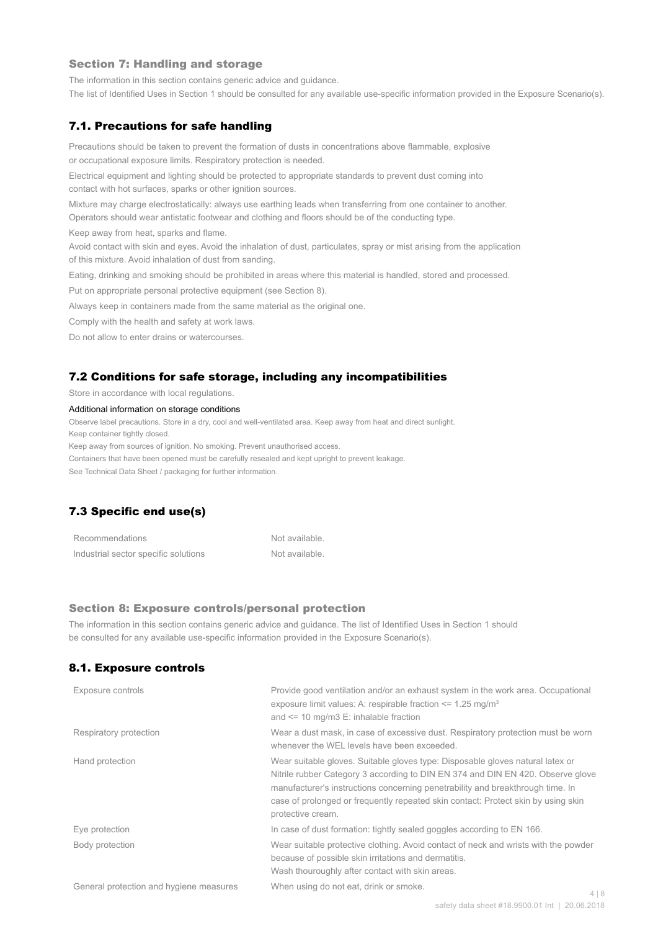#### Section 7: Handling and storage

The information in this section contains generic advice and guidance.

The list of Identified Uses in Section 1 should be consulted for any available use-specific information provided in the Exposure Scenario(s).

#### 7.1. Precautions for safe handling

Precautions should be taken to prevent the formation of dusts in concentrations above flammable, explosive or occupational exposure limits. Respiratory protection is needed.

Electrical equipment and lighting should be protected to appropriate standards to prevent dust coming into contact with hot surfaces, sparks or other ignition sources.

Mixture may charge electrostatically: always use earthing leads when transferring from one container to another.

Operators should wear antistatic footwear and clothing and floors should be of the conducting type.

Keep away from heat, sparks and flame.

Avoid contact with skin and eyes. Avoid the inhalation of dust, particulates, spray or mist arising from the application of this mixture. Avoid inhalation of dust from sanding.

Eating, drinking and smoking should be prohibited in areas where this material is handled, stored and processed.

Put on appropriate personal protective equipment (see Section 8).

Always keep in containers made from the same material as the original one.

Comply with the health and safety at work laws.

Do not allow to enter drains or watercourses.

#### 7.2 Conditions for safe storage, including any incompatibilities

Store in accordance with local regulations.

#### Additional information on storage conditions

Observe label precautions. Store in a dry, cool and well-ventilated area. Keep away from heat and direct sunlight.

Keep container tightly closed.

Keep away from sources of ignition. No smoking. Prevent unauthorised access.

Containers that have been opened must be carefully resealed and kept upright to prevent leakage.

See Technical Data Sheet / packaging for further information.

# 7.3 Specific end use(s)

| Recommendations                      | Not available. |
|--------------------------------------|----------------|
| Industrial sector specific solutions | Not available. |

#### Section 8: Exposure controls/personal protection

The information in this section contains generic advice and guidance. The list of Identified Uses in Section 1 should be consulted for any available use-specific information provided in the Exposure Scenario(s).

#### 8.1. Exposure controls

| Exposure controls                       | Provide good ventilation and/or an exhaust system in the work area. Occupational<br>exposure limit values: A: respirable fraction $\leq$ 1.25 mg/m <sup>3</sup><br>and $\le$ 10 mg/m3 E: inhalable fraction                                                                                                                                                   |       |
|-----------------------------------------|---------------------------------------------------------------------------------------------------------------------------------------------------------------------------------------------------------------------------------------------------------------------------------------------------------------------------------------------------------------|-------|
| Respiratory protection                  | Wear a dust mask, in case of excessive dust. Respiratory protection must be worn<br>whenever the WEL levels have been exceeded.                                                                                                                                                                                                                               |       |
| Hand protection                         | Wear suitable gloves. Suitable gloves type: Disposable gloves natural latex or<br>Nitrile rubber Category 3 according to DIN EN 374 and DIN EN 420. Observe glove<br>manufacturer's instructions concerning penetrability and breakthrough time. In<br>case of prolonged or frequently repeated skin contact: Protect skin by using skin<br>protective cream. |       |
| Eye protection                          | In case of dust formation: tightly sealed goggles according to EN 166.                                                                                                                                                                                                                                                                                        |       |
| Body protection                         | Wear suitable protective clothing. Avoid contact of neck and wrists with the powder<br>because of possible skin irritations and dermatitis.<br>Wash thouroughly after contact with skin areas.                                                                                                                                                                |       |
| General protection and hygiene measures | When using do not eat, drink or smoke.                                                                                                                                                                                                                                                                                                                        | 4   8 |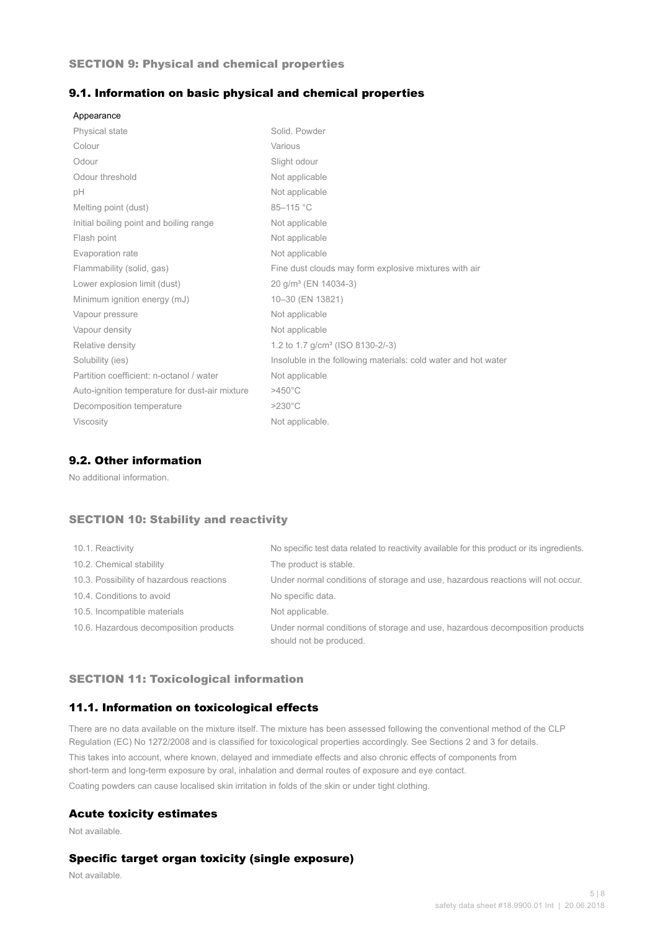#### SECTION 9: Physical and chemical properties

#### 9.1. Information on basic physical and chemical properties

| Appearance                                     |                                                                |
|------------------------------------------------|----------------------------------------------------------------|
| <b>Physical state</b>                          | Solid, Powder                                                  |
| Colour                                         | Various                                                        |
| Odour                                          | Slight odour                                                   |
| Odour threshold                                | Not applicable                                                 |
| рH                                             | Not applicable                                                 |
| Melting point (dust)                           | 85-115 °C                                                      |
| Initial boiling point and boiling range        | Not applicable                                                 |
| Flash point                                    | Not applicable                                                 |
| Evaporation rate                               | Not applicable                                                 |
| Flammability (solid, gas)                      | Fine dust clouds may form explosive mixtures with air          |
| Lower explosion limit (dust)                   | 20 g/m <sup>3</sup> (EN 14034-3)                               |
| Minimum ignition energy (mJ)                   | 10-30 (EN 13821)                                               |
| Vapour pressure                                | Not applicable                                                 |
| Vapour density                                 | Not applicable                                                 |
| Relative density                               | 1.2 to 1.7 g/cm <sup>3</sup> (ISO 8130-2/-3)                   |
| Solubility (ies)                               | Insoluble in the following materials: cold water and hot water |
| Partition coefficient: n-octanol / water       | Not applicable                                                 |
| Auto-ignition temperature for dust-air mixture | $>450^{\circ}$ C                                               |
| Decomposition temperature                      | $>230^{\circ}$ C                                               |
| <b>Viscosity</b>                               | Not applicable.                                                |

### 9.2. Other information

No additional information.

### SECTION 10: Stability and reactivity

| 10.1. Reactivity                         | No specific test data related to reactivity available for this product or its ingredients.              |
|------------------------------------------|---------------------------------------------------------------------------------------------------------|
| 10.2. Chemical stability                 | The product is stable.                                                                                  |
| 10.3. Possibility of hazardous reactions | Under normal conditions of storage and use, hazardous reactions will not occur.                         |
| 10.4. Conditions to avoid                | No specific data.                                                                                       |
| 10.5. Incompatible materials             | Not applicable.                                                                                         |
| 10.6. Hazardous decomposition products   | Under normal conditions of storage and use, hazardous decomposition products<br>should not be produced. |

#### SECTION 11: Toxicological information

### 11.1. Information on toxicological effects

There are no data available on the mixture itself. The mixture has been assessed following the conventional method of the CLP Regulation (EC) No 1272/2008 and is classified for toxicological properties accordingly. See Sections 2 and 3 for details. This takes into account, where known, delayed and immediate effects and also chronic effects of components from short-term and long-term exposure by oral, inhalation and dermal routes of exposure and eye contact. Coating powders can cause localised skin irritation in folds of the skin or under tight clothing.

#### Acute toxicity estimates

Not available.

### Specific target organ toxicity (single exposure)

Not available.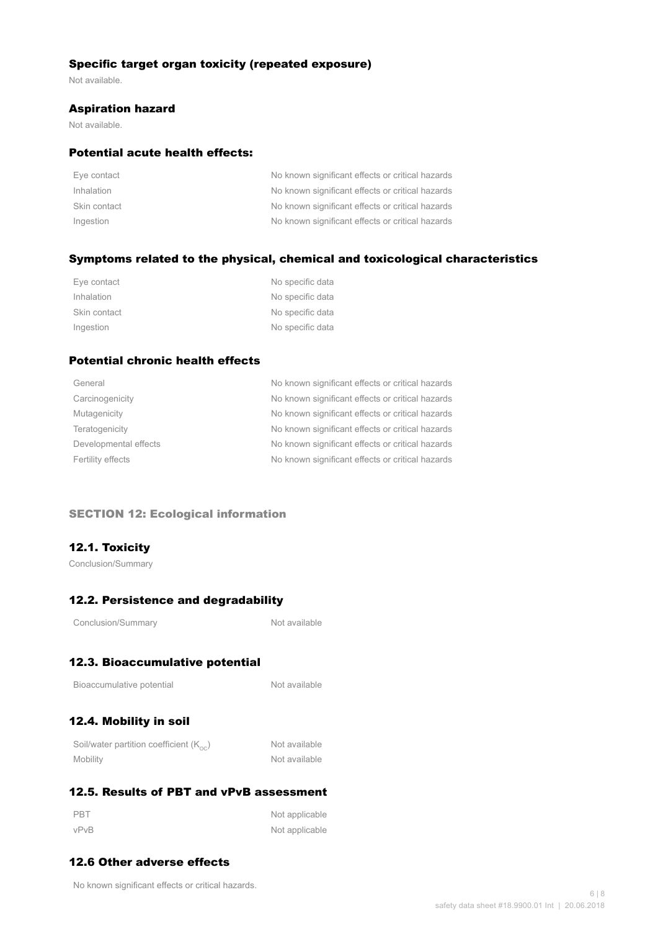### Specific target organ toxicity (repeated exposure)

Not available.

#### Aspiration hazard

Not available.

### Potential acute health effects:

| Eye contact  | No known significant effects or critical hazards |
|--------------|--------------------------------------------------|
| Inhalation   | No known significant effects or critical hazards |
| Skin contact | No known significant effects or critical hazards |
| Ingestion    | No known significant effects or critical hazards |

### Symptoms related to the physical, chemical and toxicological characteristics

| Eye contact  | No specific data |
|--------------|------------------|
| Inhalation   | No specific data |
| Skin contact | No specific data |
| Ingestion    | No specific data |

# Potential chronic health effects

| General               | No known significant effects or critical hazards |
|-----------------------|--------------------------------------------------|
| Carcinogenicity       | No known significant effects or critical hazards |
| Mutagenicity          | No known significant effects or critical hazards |
| Teratogenicity        | No known significant effects or critical hazards |
| Developmental effects | No known significant effects or critical hazards |
| Fertility effects     | No known significant effects or critical hazards |
|                       |                                                  |

#### SECTION 12: Ecological information

## 12.1. Toxicity

Conclusion/Summary

# 12.2. Persistence and degradability

Not available

# 12.3. Bioaccumulative potential

| Bioaccumulative potential |  |
|---------------------------|--|
|---------------------------|--|

Not available

# 12.4. Mobility in soil

| Soil/water partition coefficient $(K_{\text{oc}})$ | Not available |
|----------------------------------------------------|---------------|
| Mobility                                           | Not available |

# 12.5. Results of PBT and vPvB assessment

| PBT  | Not applicable |
|------|----------------|
| vPvB | Not applicable |

# 12.6 Other adverse effects

No known significant effects or critical hazards.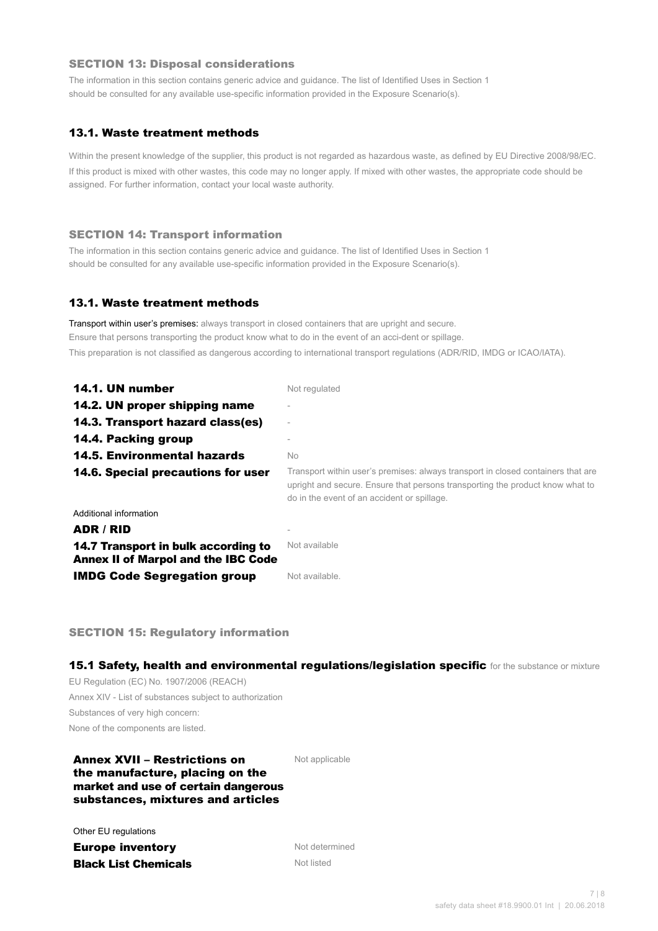#### SECTION 13: Disposal considerations

The information in this section contains generic advice and guidance. The list of Identified Uses in Section 1 should be consulted for any available use-specific information provided in the Exposure Scenario(s).

### 13.1. Waste treatment methods

Within the present knowledge of the supplier, this product is not regarded as hazardous waste, as defined by EU Directive 2008/98/EC. If this product is mixed with other wastes, this code may no longer apply. If mixed with other wastes, the appropriate code should be assigned. For further information, contact your local waste authority.

#### SECTION 14: Transport information

The information in this section contains generic advice and guidance. The list of Identified Uses in Section 1 should be consulted for any available use-specific information provided in the Exposure Scenario(s).

#### 13.1. Waste treatment methods

Transport within user's premises: always transport in closed containers that are upright and secure. Ensure that persons transporting the product know what to do in the event of an acci-dent or spillage. This preparation is not classified as dangerous according to international transport regulations (ADR/RID, IMDG or ICAO/IATA).

| 14.1. UN number                                                                   | Not regulated                                                                                                                                                                                                    |
|-----------------------------------------------------------------------------------|------------------------------------------------------------------------------------------------------------------------------------------------------------------------------------------------------------------|
| 14.2. UN proper shipping name                                                     |                                                                                                                                                                                                                  |
| 14.3. Transport hazard class(es)                                                  |                                                                                                                                                                                                                  |
| 14.4. Packing group                                                               |                                                                                                                                                                                                                  |
| <b>14.5. Environmental hazards</b>                                                | No.                                                                                                                                                                                                              |
| 14.6. Special precautions for user                                                | Transport within user's premises: always transport in closed containers that are<br>upright and secure. Ensure that persons transporting the product know what to<br>do in the event of an accident or spillage. |
| Additional information                                                            |                                                                                                                                                                                                                  |
| ADR / RID                                                                         |                                                                                                                                                                                                                  |
| 14.7 Transport in bulk according to<br><b>Annex II of Marpol and the IBC Code</b> | Not available                                                                                                                                                                                                    |
| <b>IMDG Code Segregation group</b>                                                | Not available.                                                                                                                                                                                                   |

SECTION 15: Regulatory information

15.1 Safety, health and environmental regulations/legislation specific for the substance or mixture

EU Regulation (EC) No. 1907/2006 (REACH) Annex XIV - List of substances subject to authorization Substances of very high concern: None of the components are listed.

#### Annex XVII – Restrictions on the manufacture, placing on the market and use of certain dangerous substances, mixtures and articles

Not applicable

Other EU regulations

**Europe inventory** Not determined **Black List Chemicals** Not listed